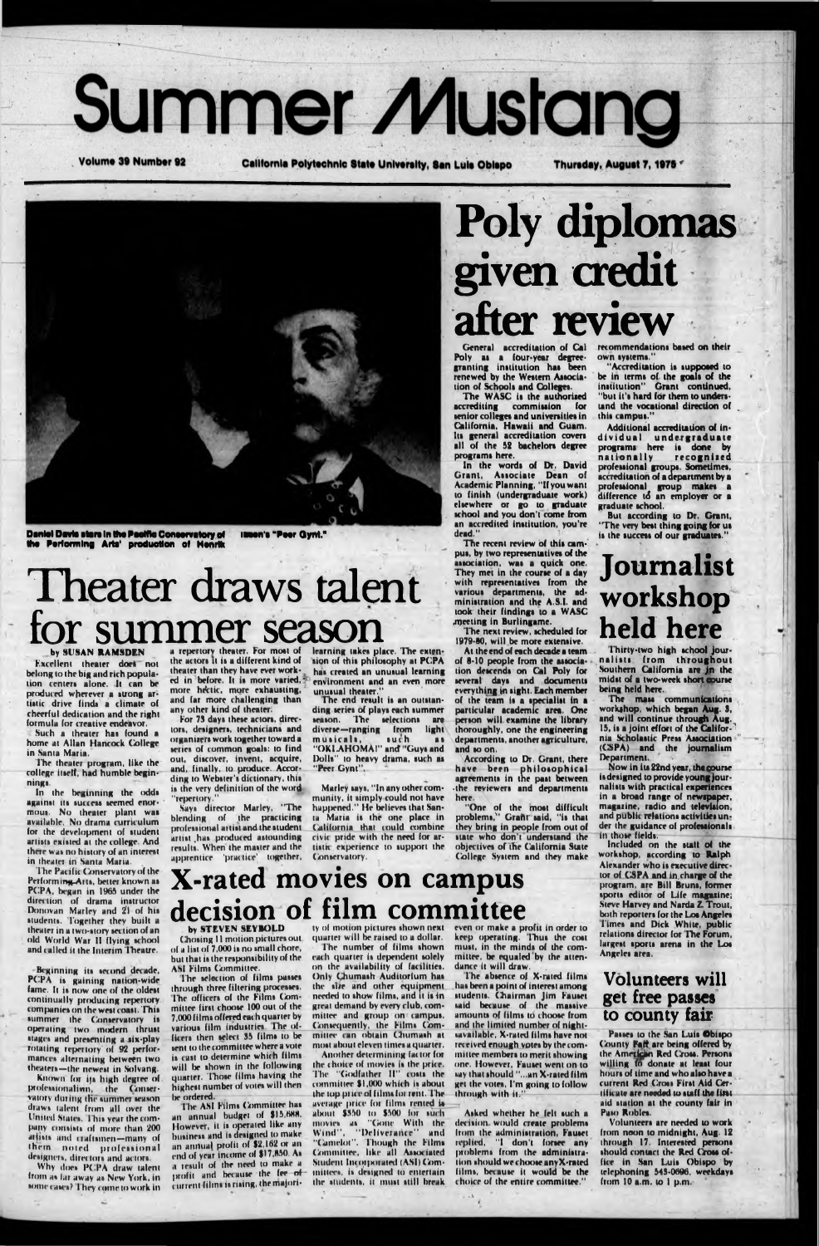# **Summer Mustang**

**Volume 39 Number 92** 

California Polytechnic State University, San Luis Obispo

Thursday, August 7, 1975



Daniel Davis stars in the Pacific Conservatory of Illuon's "Peer Gynt." the Performing Arts' production of Henrik

## Theater draws talent for summer season

#### **by SUSAN RAMSDEN**

Excellent theater does not belong to the big and rich population centers alone. It can be produced wherever a strong artiatic drive finds a climate of cheerful dedication and the right formula for creative endeavor.

Such a theater has found a home at Allan Hancock College in Santa Maria.

The theater program, like the college itself, had humble beginnings.

In the beginning the odds against its success seemed enormous. No theater plant was available. No drama curriculum for the development of student artists existed at the college. And

a repertory theater. For most of the actors it is a different kind of theater than they have ever worked in before. It is more varied, more hectic, more exhausting, and far more challenging than any other kind of theater.

For 73 days these actors, directors, designers, technicians and organizers work together toward a series of common goals: to find out. discover, invent, acquire, and, finally, to produce. According to Webster's dictionary, this is the very definition of the word 'repertory.

Says director Marley, "The blending of the practicing professional artist and the student artist has produced astounding results. When the master and the

learning takes place. The extension of this philosophy at PCPA has created an unusual learning environment and an even more unusual theater."

The end result is an outstanding series of plays each summer season. The selections are diverse-ranging from light musicals, such  $21$ "OKLAHOMA!" and "Guys and Dolls" to heavy drama, such as "Peer Gynt".

Marley says, "In any other community, it simply could not have happened." He believes that Santa Maria is the one place in California that could combine civic pride with the need for artistic experience to support the

# Poly diplomas given credit after review

Poly as a four-year degreegranting institution has been renewed by the Western Association of Schools and Colleges.

The WASC is the authorized accrediting commission for senior colleges and universities in California, Hawaii and Guam. Its general accreditation covers all of the 52 bachelors degree programs here.

In the words of Dr. David Grant, Associate Dean of Academic Planning, "If you want to finish (undergraduate work) elsewhere or go to graduate school and you don't come from an accredited institution, you're dead.'

The recent review of this campus, by two representatives of the association, was a quick one.<br>They met in the course of a day with representatives from the vitit representative toute ad-<br>ministration and the A.S.I. and<br>took their findings to a WASC meeting in Burlingame.

The next review, scheduled for 1979-80, will be more extensive.

At the end of each decade a team. of 8-10 people from the association descends on Cal Poly for<br>several days and documents everything in sight. Each member of the team is a specialist in a particular academic area. One<br>person will examine the library thoroughly, one the engineering departments, another agriculture, and so on.

According to Dr. Grant, there have been philosophical agreements in the past between<br>the reviewers and departments here.

"One of the most difficult<br>problems," Grafit said, "is that they bring in people from out of state who don't understand the objectives of the California State College System and they make

General accreditation of Cal recommendations based on their own systems.'

> "Accreditation is supposed to be in terms of the goals of the<br>institution" Grant continued, "but it's hard for them to understand the vocational direction of this campus.'

> Additional accreditation of individual undergraduate<br>programs here is done by nationally recognized professional groups. Sometimes,<br>accreditation of a department by a professional group makes a difference to an employer or a graduate school.

But according to Dr. Grant, "The very best thing going for us is the success of our graduates."

### Journalist workshop held here

Thirty-two high school journalists from throughout Southern California are in the midst of a two-week short course being held here.

The mass communications<br>workshop, which began Aug. 3, and will continue through Aug. 15, is a joint effort of the California Scholastic Press Association (CSPA) and the journalism Department.

Now in its 22nd year, the course is designed to provide young journalists with practical experiences in a broad range of newspaper. magazine, radio and television, and public relations activities under the guidance of professionals in those fields.

Included on the staff of the

was no nistory in theater in Santa Maria.

The Pacific Conservatory of the Performing Arts, better known as PCPA, began in 1965 under the direction of drama instructor Donovan Marley and 21 of his students. Together they built a theater in a two-story section of an old World War II flying school and called it the Interim Theatre.

Beginning its second decade. PCPA is gaining nation-wide fame. It is now one of the oldest continually producing repertory. companies on the west coast. This summer the Conservatory is operating two modern thrust stages and presenting a six-play rotating repertory of 92 performances alternating between two theaters-the newest in Solvang.

Known for its high degree ofprofessionalism, the Conservatory during the summer season draws talent from all over the United States. This year the company consists of more than 200 attists and craftsmen-many of them noted professional designers, directors and actors.

Why does PCPA draw talent from as far away as New York, in some cases? They come to work in

apprentice 'practice' together, Conservatory

### **X-rated movies on campus** decision of film committee

by STEVEN SEYBOLD

Chosing 11 motion pictures out of a list of 7,000 is no small chore, but that is the responsibility of the ASI Films Committee.

The selection of films passes through three filtering processes. The officers of the Films Committee first choose 100 out of the 7,000 films offered each quarter by various film industries. The officers then select 35 films to be sent to the committee where a vote is cast to determine which films will be shown in the following quarter. Those films having the highest number of votes will then be ordered.

The ASI Films Committee has an annual budget of \$15,688. However, it is operated like any business and is designed to make an annual profit of \$2,162 or an end of year income of \$17,850. As a result of the need to make a profit and because the fee of current films is rising, the majori-

ty of motion pictures shown next quarter will be raised to a dollar. The number of films shown each quarter is dependent solely on the availability of facilities. Only Chumash Auditorium has the size and other equipment needed to show films, and it is in great demand by every club, committee and group on campus. Consequently, the Films Committee can obtain Chumash at most about eleven times a quarter.

Another determining factor for the choice of movies is the price. The "Godfather II" costs the committee \$1,000 which is about the top price of films for rent. The average price for films rented is about \$350 to \$500 for such movies as "Gone With the Wind", "Deliverance" and "Camelot". Though the Films Committee, like all Associated Student Incorporated (ASI) Committees, is designed to entertain. the students, it must still break

even or make a profit in order to keep operating. Thus the cost must, in the minds of the committee, be equaled by the attendance it will draw.

The absence of X-rated films has been a point of interest among students. Chairman Jim Fauset said because of the massive amounts of films to choose from and the limited number of nightsavailable, X-rated films have not received enough yotes by the committee members to merit showing one. However, Fauset went on-to say that should "...an X-rated film get the votes, I'm going to follow through with it."

Asked whether he felt such a decision would create problems from the administration, Fauset replied, "I don't forsee any problems from the administration should we choose any X-rated films, because it would be the choice of the entire committee."

workshop, according to Ralph Alexander who is executive director of CSPA and in charge of the program, are Bill Bruns, former sports editor of Life magazine; Steve Harvey and Narda Z. Trout, both reporters for the Los Angeles Times and Dick White, public relations director for The Forum, largest sports arena in the Los Angeles area.

#### **Volunteers** will get free passes to county fair

Passes to the San Luis Obispo County Falt are being offered by the American Red Cross. Persons<br>willing to donate at least four hours of time and who also have a current Red Cross First Aid Certificate are needed to staff the first aid station at the county fair in Paso Robles.

Volunteers are needed to work from noon to midnight, Aug. 12 through 17. Interested persons should contact the Red Cross office in San Luis Obispo by telephoning 545-0696, weekdays from  $10$  a.m. to  $1$  p.m.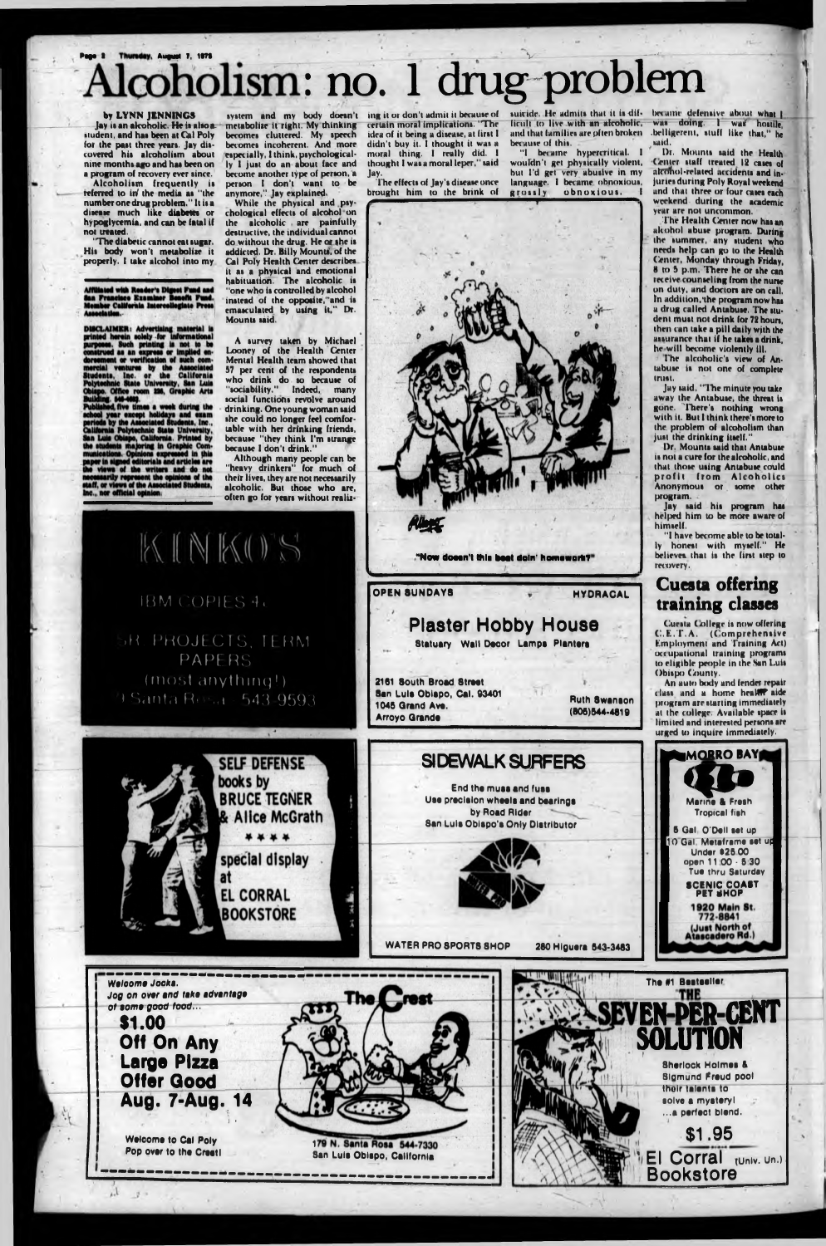The diabetic cannot eat sugar. His body won't metabolise it properly. I take alcohol into my

iated with Reader's Digest Fund and<br>Francisco Examiner Bonefit Fund.<br>Iber California Intercollegiate Press

DISCLAIMER: Advertising material<br>printed herein solely for information at or verification of such com<br>ventures by the Associate ventures by the Associated<br>by the Associated<br>i. Inc. or the California

nts, Inc. or the California<br>chnic State University, San Luis<br>o. Office room 226, Graphic Arts<br>hed, five times a week during the<br>hed, five times a week during the<br>year except holidays and exam<br>a by the Associated Students, the views of the writers and do not<br>hecesarily represent the opinions of the<br>security represent the opinions of the<br>haff, or views of the Associated Students<br>inc., nor official opinion:

metabolise it right. My thinking becomes cluttered. My speech becomes incoherent. And more especially. 1 think, psychologically I just do an about face and become another type of person, a person I don't want to be anymore," Jay explained.

# Alcoholism: no. 1 drug problem

#### **by LYNN JENNINGS**

Jay is an alcoholic. He is also a. »indent, and hat been at Cal Poly for the past three years. Jay discovered hit alcoholism about nine months ago and hat been on a program of recovery ever since.

Alcoholism frequently is referred to in*f* the media as "the number one drug problem." It is a disease much like **diabetes** or hypoglycemia, and can be fatal if not treated.

> Although many people can be "heavy drinkers" for much of their lives, they are not necessarily alcoholic. But those who are, often go for years without realiz

ficult to live with an alcoholic, bet ause of this.

"I became hypercritical. I wouldn't get physically violent, bui l'd grt very abusive in my language. I became obnoxious,<br>grossly obnoxious. I obnoxious.

While the physical and psychological effects of alcohol on the alcoholic are painfully destructive, the individual cannot do without the drug. He or the is addicted. Dr. Billy Mounts, of the Cal Poly Health Center describes it as a physical and emotional habituation. The alcoholic is "one who is controlled by alcohol instead of the opposite, and is emasculated by using it," Dr. Mounu said.

 $s$ uicide. He admits that it is dif- becume defensive about what  $\parallel$ and that lamilies are pften broken .belligerent, stuff like that," he was doing. I was hostile, »aid.

system and my body doesn't ing it or don't admit it because of certain moral implications. "The idea of it being a disease, at first I didn't buy it. I thought it was a moral thing. I really did. I thought I was a moral leper," said **Jay,**

A survey taken by Michael Looney of the Health Center Mental Health team showed that 57 per cent of the respondents who drink do so because of "sociability." Indeed, many social functions revolve around drinking. One young woman said she could no longer feel comfortable with her drinking friends, because "they think I'm strange because I don't drink."



The effects of Jay's disease oner brought him to the brink of



f

**«** *"Horn* **doesn't this beat doin' homework? OPEN 8UNDAYS WE HYDRACAL Plaster Hobby House Statuary Wall Decor Lampa Plantare 2181 South Broad 8treet San Lula Oblepo, Cel. 93401 1045 Qrand Ave. Arroyo Grande Ruth Swanson (806)544-4819 SI DEWALK SURFERS**

**by Road Rider**

Dr. Mounts said the Health Center staff treated 12 cases of alconol-related accidents and injuries during Poly Royal weekend and that three or four cases each weekend during the academic year are not uncommon.

The Health Center now has an alcohol abuse program. During the summer, any student who needs help can go to the Health **Center,** Monday through Friday, 8 to 5 p.m. There he or she can receive counseling from the nurse on duty, and dorton are on call. In addition, the program now has a drug called Antabuse. The student must not drink for 72 hours, then can take a pill daily wjth the assurance that if he takes a drink, he will become violently ill.

The alcoholic's view of Antabuse is not one of complete trust.

Jay said, "The minute you take away the Antabuse, the threat is gone. There's nothing wrong with it. But I think there's more to the. problem of alcoholism than just the drinking itself."

Dr. Mounts said that Antabuse is not a cure (or the alcoholir, and that those using Antabuse could profit from Alcoholics Anonymous or some other program.

Jay said his program has helped him to be more aware of himself.

"I have become able to be totally honest with myself." He believes that is the first step to recovery.

#### Cuesta offering training classes

Cuesta College is now offering C.E.T.A. (Comprehensive Fmployment and Training Art) otc upational training programs to eligible people in the San Luis Obispo County.

An auto body and fender repair t lass and a home heaMP aide program are starting immediately at the college. Available spare is limited and interested persons are urged to inquire immediately.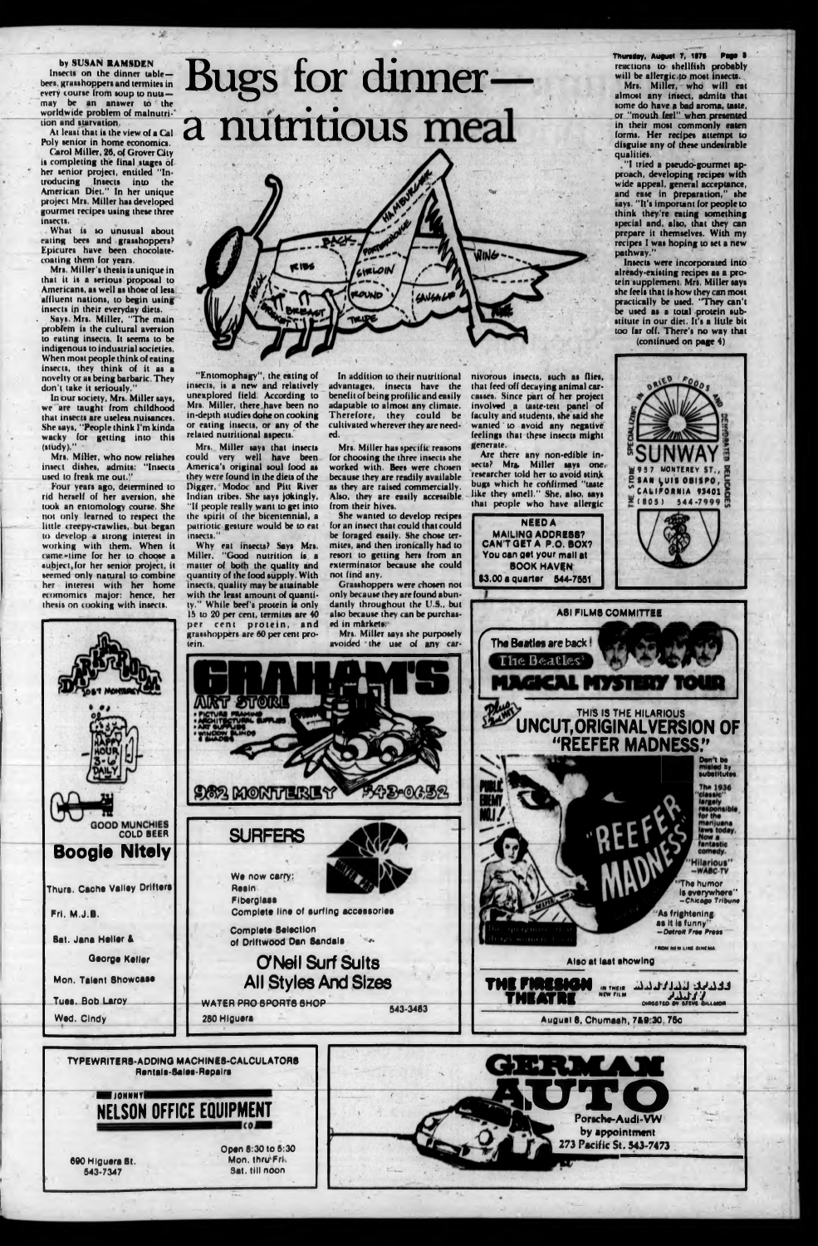#### by SUSAN RAMSDEN

Inserts on the dinner table bees, grasshoppers and termites in every course from toup to nuts may be an aniwer to the worldwide problem of malnutrilion and starvation.

At least that is the view of a Cal Poly senior in home economics,

Carol Miller, 26, of Grover City is completing the final stages of her senior project, entitled "Introducing Insects into the American Diet." In her unique project Mrs. Miller has developed gourmet recipes using these three insects.

. Says, Mrs. Miller, "The main problem is the cultural aversion to eating insects. It seems to be indigenous to industrial societies. When most people think of eating insects, they think of it as a novelty or as being barbaric. They don't take it seriously.

- What is so unusual about eating bees and grasshoppers? Epicures have been chocolatecoating them for years.

In our society, Mrs. Miller says, we are taught from childhood that insects are useless nuisances. .She says, "People think I'm kinda wacky for getting into this (study)."

Mrs. Miller's thesis is unique in that it is a serious proposal to Americans, as well as those of less affluent nations, to begin using insects ip their everyday dieu.

## Bugs for dinner a nutritious meal

| OF A |  |  |  |
|------|--|--|--|
|      |  |  |  |
|      |  |  |  |

**Thursday, August 7, 1875** reactions to shellfish probably will be allergic .to most insects.

Mrs. Miller, who now relishes insect dishes, admits: "Insects used to freak me out."

Four years ago, determined to rid herself of her aversion, she look an entomology course. She not only learned to respect the little creepy-crawlies, but began to develop a strong interest in working with them. When it tame\*time for her to choose a «uhjeetjor her senior project, it seemed only natural to combine

Mrs. Miller, who will eat almost any insect, admits that some do have a bad aroma, taste, or "mouth feel" when presented in their most commonly eaten forms. Her recipes attempt to disguise any of these undesirable qualities.

."I tried a pseudo-gourmet approach, developing recipes with wide appeal, general acceptance, and ease in preparation," the says. "It's important for people to think they're eating something special and, also, that they can prepare it themselves. With my recipes I was hoping to set a new pathway."

**NEEDA MAILING ADDRE88? CAN'T GET A P.O. BOX? You oso gst your mall at BOOK HAVEN** 

Insects were incorporated into already-existing recipes as a protein supplement. Mrs. Miller says she feels that is how they can most practically be used. "They can't<br>be used as a total protein subused as a total protein substitute in our diet. It's a little bit too far off. There's no way that

(continued on page 4)

"Entomophagy", the eating of inserts, is a new and relatively unexplored field. According to Mrs. Miller, there,have been no in-depth studies dohe on cooking or eating insects, or any of the related nutritional aspects.

Mrs. Miller says that insects could very well have been America's original soul food as they were found in the diets of the Digger, Modoc and Pitt River Indian tribes. She says jokingly, "If people really want to get into the spirit of the bicentennial, a patriotic gesture would be to eat insects."

Why eat insects? Says Mrs. Miller. "Good nutrition is a matter of both the quality and quantity of the food supply. With ty." While beef's protein is only 15 to 20 per cent, termites are 40 grasshoppers are 60 per cent pro-

In addition to their nutritional advantages, insects have the benefit of being profilic and easily adapuble to almost any climate. Therefore, they could be cultivated wherever they are needed.

Mrs. Miller hat specific reasons for choosing the three insects she worked with. Bees were chosen because they are readily available as they are raised commercially. Also, they are easily accessible. from their hives.

She wanted to develop recipes for an insect that could that could be foraged easily. She chose termites, and then ironically had to retort to getting hers from an exterminator because she could not find any.

ed in mårkets.



Are there any non-edible insects? Mrs. Miller says one. researcher told her to avoid stink bugs which he confirmed "taste like they smell." She, also, says that people who have allergic